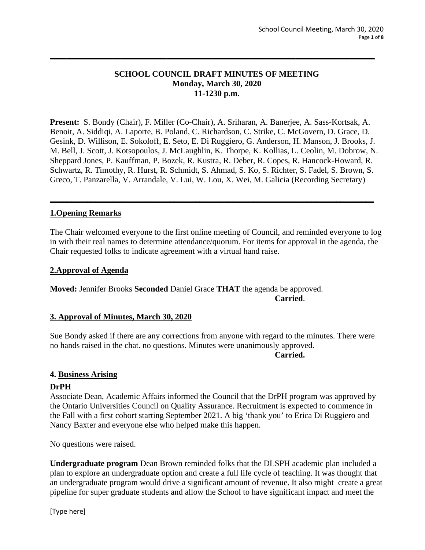# **SCHOOL COUNCIL DRAFT MINUTES OF MEETING Monday, March 30, 2020 11-1230 p.m.**

**\_\_\_\_\_\_\_\_\_\_\_\_\_\_\_\_\_\_\_\_\_\_\_\_\_\_\_\_\_\_\_\_\_\_\_\_\_\_\_\_\_\_\_\_\_\_\_\_\_\_\_\_\_\_\_\_\_\_\_\_\_\_\_\_\_\_\_\_\_\_\_\_\_\_\_\_\_\_**

**Present:** S. Bondy (Chair), F. Miller (Co-Chair), A. Sriharan, A. Banerjee, A. Sass-Kortsak, A. Benoit, A. Siddiqi, A. Laporte, B. Poland, C. Richardson, C. Strike, C. McGovern, D. Grace, D. Gesink, D. Willison, E. Sokoloff, E. Seto, E. Di Ruggiero, G. Anderson, H. Manson, J. Brooks, J. M. Bell, J. Scott, J. Kotsopoulos, J. McLaughlin, K. Thorpe, K. Kollias, L. Ceolin, M. Dobrow, N. Sheppard Jones, P. Kauffman, P. Bozek, R. Kustra, R. Deber, R. Copes, R. Hancock-Howard, R. Schwartz, R. Timothy, R. Hurst, R. Schmidt, S. Ahmad, S. Ko, S. Richter, S. Fadel, S. Brown, S. Greco, T. Panzarella, V. Arrandale, V. Lui, W. Lou, X. Wei, M. Galicia (Recording Secretary)

**\_\_\_\_\_\_\_\_\_\_\_\_\_\_\_\_\_\_\_\_\_\_\_\_\_\_\_\_\_\_\_\_\_\_\_\_\_\_\_\_\_\_\_\_\_\_\_\_\_\_\_\_\_\_\_\_\_\_\_\_\_\_\_\_\_\_\_\_\_\_\_\_\_\_\_\_\_\_**

# **1.Opening Remarks**

The Chair welcomed everyone to the first online meeting of Council, and reminded everyone to log in with their real names to determine attendance/quorum. For items for approval in the agenda, the Chair requested folks to indicate agreement with a virtual hand raise.

### **2.Approval of Agenda**

**Moved:** Jennifer Brooks **Seconded** Daniel Grace **THAT** the agenda be approved. **Carried**.

### **3. Approval of Minutes, March 30, 2020**

Sue Bondy asked if there are any corrections from anyone with regard to the minutes. There were no hands raised in the chat. no questions. Minutes were unanimously approved.

#### **Carried.**

### **4. Business Arising**

### **DrPH**

Associate Dean, Academic Affairs informed the Council that the DrPH program was approved by the Ontario Universities Council on Quality Assurance. Recruitment is expected to commence in the Fall with a first cohort starting September 2021. A big 'thank you' to Erica Di Ruggiero and Nancy Baxter and everyone else who helped make this happen.

No questions were raised.

**Undergraduate program** Dean Brown reminded folks that the DLSPH academic plan included a plan to explore an undergraduate option and create a full life cycle of teaching. It was thought that an undergraduate program would drive a significant amount of revenue. It also might create a great pipeline for super graduate students and allow the School to have significant impact and meet the

[Type here]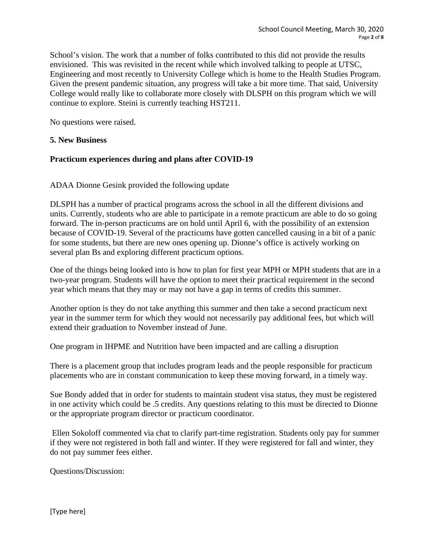School's vision. The work that a number of folks contributed to this did not provide the results envisioned. This was revisited in the recent while which involved talking to people at UTSC, Engineering and most recently to University College which is home to the Health Studies Program. Given the present pandemic situation, any progress will take a bit more time. That said, University College would really like to collaborate more closely with DLSPH on this program which we will continue to explore. Steini is currently teaching HST211.

No questions were raised.

# **5. New Business**

# **Practicum experiences during and plans after COVID-19**

ADAA Dionne Gesink provided the following update

DLSPH has a number of practical programs across the school in all the different divisions and units. Currently, students who are able to participate in a remote practicum are able to do so going forward. The in-person practicums are on hold until April 6, with the possibility of an extension because of COVID-19. Several of the practicums have gotten cancelled causing in a bit of a panic for some students, but there are new ones opening up. Dionne's office is actively working on several plan Bs and exploring different practicum options.

One of the things being looked into is how to plan for first year MPH or MPH students that are in a two-year program. Students will have the option to meet their practical requirement in the second year which means that they may or may not have a gap in terms of credits this summer.

Another option is they do not take anything this summer and then take a second practicum next year in the summer term for which they would not necessarily pay additional fees, but which will extend their graduation to November instead of June.

One program in IHPME and Nutrition have been impacted and are calling a disruption

There is a placement group that includes program leads and the people responsible for practicum placements who are in constant communication to keep these moving forward, in a timely way.

Sue Bondy added that in order for students to maintain student visa status, they must be registered in one activity which could be .5 credits. Any questions relating to this must be directed to Dionne or the appropriate program director or practicum coordinator.

Ellen Sokoloff commented via chat to clarify part-time registration. Students only pay for summer if they were not registered in both fall and winter. If they were registered for fall and winter, they do not pay summer fees either.

Questions/Discussion: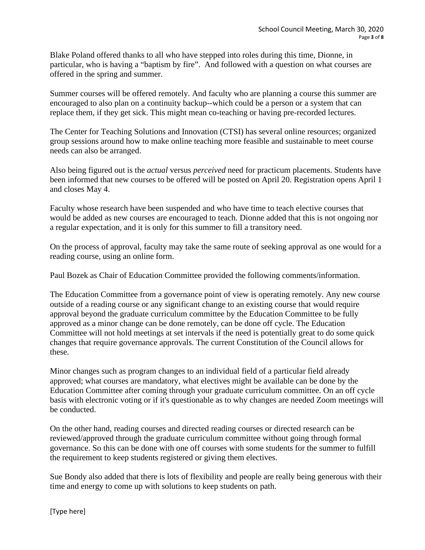Blake Poland offered thanks to all who have stepped into roles during this time, Dionne, in particular, who is having a "baptism by fire". And followed with a question on what courses are offered in the spring and summer.

Summer courses will be offered remotely. And faculty who are planning a course this summer are encouraged to also plan on a continuity backup--which could be a person or a system that can replace them, if they get sick. This might mean co-teaching or having pre-recorded lectures.

The Center for Teaching Solutions and Innovation (CTSI) has several online resources; organized group sessions around how to make online teaching more feasible and sustainable to meet course needs can also be arranged.

Also being figured out is the *actual* versus *perceived* need for practicum placements. Students have been informed that new courses to be offered will be posted on April 20. Registration opens April 1 and closes May 4.

Faculty whose research have been suspended and who have time to teach elective courses that would be added as new courses are encouraged to teach. Dionne added that this is not ongoing nor a regular expectation, and it is only for this summer to fill a transitory need.

On the process of approval, faculty may take the same route of seeking approval as one would for a reading course, using an online form.

Paul Bozek as Chair of Education Committee provided the following comments/information.

The Education Committee from a governance point of view is operating remotely. Any new course outside of a reading course or any significant change to an existing course that would require approval beyond the graduate curriculum committee by the Education Committee to be fully approved as a minor change can be done remotely, can be done off cycle. The Education Committee will not hold meetings at set intervals if the need is potentially great to do some quick changes that require governance approvals. The current Constitution of the Council allows for these.

Minor changes such as program changes to an individual field of a particular field already approved; what courses are mandatory, what electives might be available can be done by the Education Committee after coming through your graduate curriculum committee. On an off cycle basis with electronic voting or if it's questionable as to why changes are needed Zoom meetings will be conducted.

On the other hand, reading courses and directed reading courses or directed research can be reviewed/approved through the graduate curriculum committee without going through formal governance. So this can be done with one off courses with some students for the summer to fulfill the requirement to keep students registered or giving them electives.

Sue Bondy also added that there is lots of flexibility and people are really being generous with their time and energy to come up with solutions to keep students on path.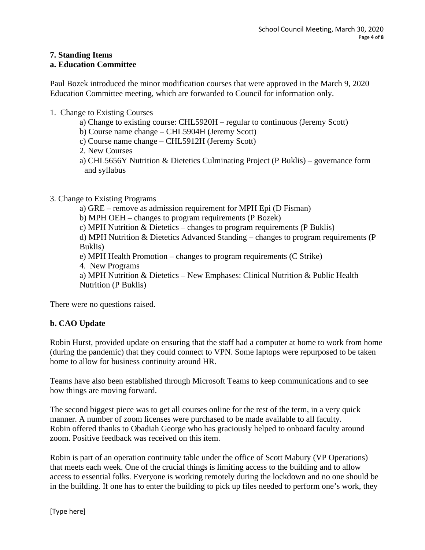# **7. Standing Items**

# **a. Education Committee**

Paul Bozek introduced the minor modification courses that were approved in the March 9, 2020 Education Committee meeting, which are forwarded to Council for information only.

- 1. Change to Existing Courses
	- a) Change to existing course: CHL5920H regular to continuous (Jeremy Scott)
	- b) Course name change CHL5904H (Jeremy Scott)
	- c) Course name change CHL5912H (Jeremy Scott)
	- 2. New Courses
	- a) CHL5656Y Nutrition & Dietetics Culminating Project (P Buklis) governance form and syllabus
- 3. Change to Existing Programs
	- a) GRE remove as admission requirement for MPH Epi (D Fisman)

b) MPH OEH – changes to program requirements (P Bozek)

c) MPH Nutrition & Dietetics – changes to program requirements (P Buklis)

d) MPH Nutrition & Dietetics Advanced Standing – changes to program requirements (P Buklis)

e) MPH Health Promotion – changes to program requirements (C Strike)

4. New Programs

a) MPH Nutrition & Dietetics – New Emphases: Clinical Nutrition & Public Health Nutrition (P Buklis)

There were no questions raised.

# **b. CAO Update**

Robin Hurst, provided update on ensuring that the staff had a computer at home to work from home (during the pandemic) that they could connect to VPN. Some laptops were repurposed to be taken home to allow for business continuity around HR.

Teams have also been established through Microsoft Teams to keep communications and to see how things are moving forward.

The second biggest piece was to get all courses online for the rest of the term, in a very quick manner. A number of zoom licenses were purchased to be made available to all faculty. Robin offered thanks to Obadiah George who has graciously helped to onboard faculty around zoom. Positive feedback was received on this item.

Robin is part of an operation continuity table under the office of Scott Mabury (VP Operations) that meets each week. One of the crucial things is limiting access to the building and to allow access to essential folks. Everyone is working remotely during the lockdown and no one should be in the building. If one has to enter the building to pick up files needed to perform one's work, they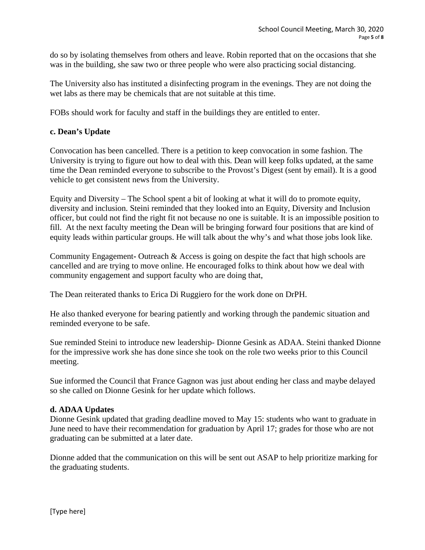do so by isolating themselves from others and leave. Robin reported that on the occasions that she was in the building, she saw two or three people who were also practicing social distancing.

The University also has instituted a disinfecting program in the evenings. They are not doing the wet labs as there may be chemicals that are not suitable at this time.

FOBs should work for faculty and staff in the buildings they are entitled to enter.

# **c. Dean's Update**

Convocation has been cancelled. There is a petition to keep convocation in some fashion. The University is trying to figure out how to deal with this. Dean will keep folks updated, at the same time the Dean reminded everyone to subscribe to the Provost's Digest (sent by email). It is a good vehicle to get consistent news from the University.

Equity and Diversity – The School spent a bit of looking at what it will do to promote equity, diversity and inclusion. Steini reminded that they looked into an Equity, Diversity and Inclusion officer, but could not find the right fit not because no one is suitable. It is an impossible position to fill. At the next faculty meeting the Dean will be bringing forward four positions that are kind of equity leads within particular groups. He will talk about the why's and what those jobs look like.

Community Engagement**-** Outreach & Access is going on despite the fact that high schools are cancelled and are trying to move online. He encouraged folks to think about how we deal with community engagement and support faculty who are doing that,

The Dean reiterated thanks to Erica Di Ruggiero for the work done on DrPH.

He also thanked everyone for bearing patiently and working through the pandemic situation and reminded everyone to be safe.

Sue reminded Steini to introduce new leadership- Dionne Gesink as ADAA. Steini thanked Dionne for the impressive work she has done since she took on the role two weeks prior to this Council meeting.

Sue informed the Council that France Gagnon was just about ending her class and maybe delayed so she called on Dionne Gesink for her update which follows.

### **d. ADAA Updates**

Dionne Gesink updated that grading deadline moved to May 15: students who want to graduate in June need to have their recommendation for graduation by April 17; grades for those who are not graduating can be submitted at a later date.

Dionne added that the communication on this will be sent out ASAP to help prioritize marking for the graduating students.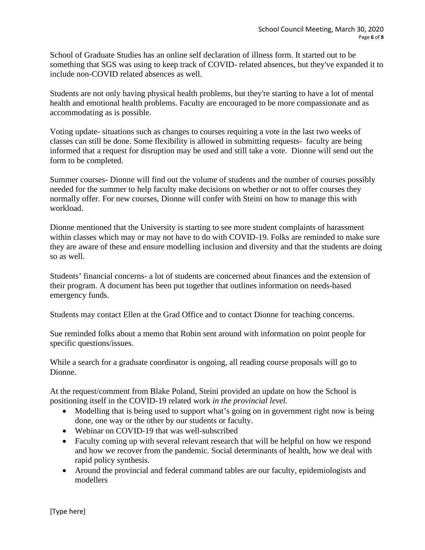School of Graduate Studies has an online self declaration of illness form. It started out to be something that SGS was using to keep track of COVID- related absences, but they've expanded it to include non-COVID related absences as well.

Students are not only having physical health problems, but they're starting to have a lot of mental health and emotional health problems. Faculty are encouraged to be more compassionate and as accommodating as is possible.

Voting update- situations such as changes to courses requiring a vote in the last two weeks of classes can still be done. Some flexibility is allowed in submitting requests- faculty are being informed that a request for disruption may be used and still take a vote. Dionne will send out the form to be completed.

Summer courses- Dionne will find out the volume of students and the number of courses possibly needed for the summer to help faculty make decisions on whether or not to offer courses they normally offer. For new courses, Dionne will confer with Steini on how to manage this with workload.

Dionne mentioned that the University is starting to see more student complaints of harassment within classes which may or may not have to do with COVID-19. Folks are reminded to make sure they are aware of these and ensure modelling inclusion and diversity and that the students are doing so as well.

Students' financial concerns- a lot of students are concerned about finances and the extension of their program. A document has been put together that outlines information on needs-based emergency funds.

Students may contact Ellen at the Grad Office and to contact Dionne for teaching concerns.

Sue reminded folks about a memo that Robin sent around with information on point people for specific questions/issues.

While a search for a graduate coordinator is ongoing, all reading course proposals will go to Dionne.

At the request/comment from Blake Poland, Steini provided an update on how the School is positioning itself in the COVID-19 related work *in the provincial level.*

- Modelling that is being used to support what's going on in government right now is being done, one way or the other by our students or faculty.
- Webinar on COVID-19 that was well-subscribed
- Faculty coming up with several relevant research that will be helpful on how we respond and how we recover from the pandemic. Social determinants of health, how we deal with rapid policy synthesis.
- Around the provincial and federal command tables are our faculty, epidemiologists and modellers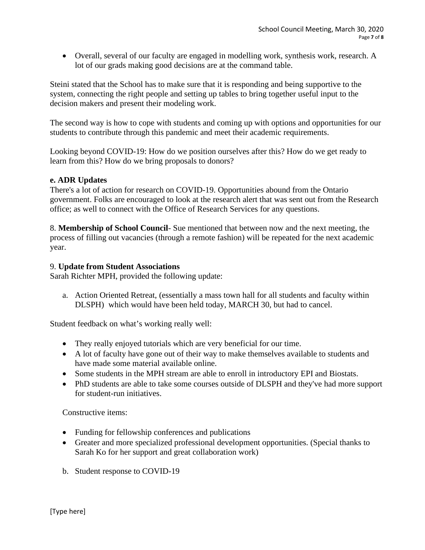• Overall, several of our faculty are engaged in modelling work, synthesis work, research. A lot of our grads making good decisions are at the command table.

Steini stated that the School has to make sure that it is responding and being supportive to the system, connecting the right people and setting up tables to bring together useful input to the decision makers and present their modeling work.

The second way is how to cope with students and coming up with options and opportunities for our students to contribute through this pandemic and meet their academic requirements.

Looking beyond COVID-19: How do we position ourselves after this? How do we get ready to learn from this? How do we bring proposals to donors?

# **e. ADR Updates**

There's a lot of action for research on COVID-19. Opportunities abound from the Ontario government. Folks are encouraged to look at the research alert that was sent out from the Research office; as well to connect with the Office of Research Services for any questions.

8. **Membership of School Council**- Sue mentioned that between now and the next meeting, the process of filling out vacancies (through a remote fashion) will be repeated for the next academic year.

### 9. **Update from Student Associations**

Sarah Richter MPH, provided the following update:

a. Action Oriented Retreat, (essentially a mass town hall for all students and faculty within DLSPH) which would have been held today, MARCH 30, but had to cancel.

Student feedback on what's working really well:

- They really enjoyed tutorials which are very beneficial for our time.
- A lot of faculty have gone out of their way to make themselves available to students and have made some material available online.
- Some students in the MPH stream are able to enroll in introductory EPI and Biostats.
- PhD students are able to take some courses outside of DLSPH and they've had more support for student-run initiatives.

Constructive items:

- Funding for fellowship conferences and publications
- Greater and more specialized professional development opportunities. (Special thanks to Sarah Ko for her support and great collaboration work)
- b. Student response to COVID-19